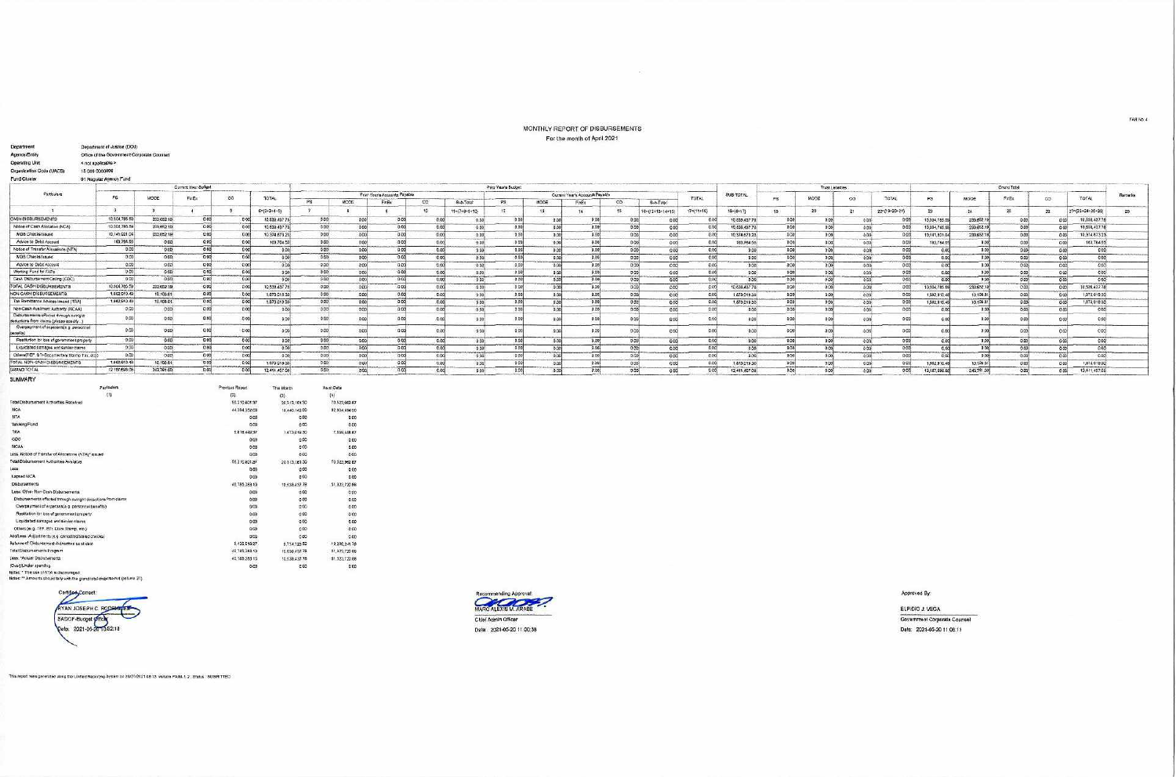## MONTHLY REPORT OF DISBURSEMENTS For the month of April 2021

 $\overline{1}$ 

| Fund Citistan                                                                      | 01 Regular Agency Fund                             |            |                     |                         |                       |               | the contract of the contract of the property of the contract of the contract of the contract of the contract of the contract of the contract of the contract of the contract of the contract of the contract of the contract o |                                      |                           |                           |                        |                                 |                           |                |                  |                  |                |                  |                |                   |                |                                           |                   |                  |           |                 |    |  |
|------------------------------------------------------------------------------------|----------------------------------------------------|------------|---------------------|-------------------------|-----------------------|---------------|--------------------------------------------------------------------------------------------------------------------------------------------------------------------------------------------------------------------------------|--------------------------------------|---------------------------|---------------------------|------------------------|---------------------------------|---------------------------|----------------|------------------|------------------|----------------|------------------|----------------|-------------------|----------------|-------------------------------------------|-------------------|------------------|-----------|-----------------|----|--|
|                                                                                    |                                                    |            | Current Year Surget |                         |                       |               | Prior Year's Budget                                                                                                                                                                                                            |                                      |                           |                           |                        |                                 |                           |                |                  |                  |                |                  | Trust Letebes  | --------------    |                | continued in companies and<br>Grand Total |                   |                  |           |                 |    |  |
| Particulars                                                                        | <b>ng</b>                                          | MODE       | FinEx               | $\infty$                | TOTAL                 |               |                                                                                                                                                                                                                                | <b>Prior Year's Accounts Payable</b> |                           |                           |                        | Current Year's Accounts Payable |                           |                | TOTAL            | <b>SUB-TOTAL</b> | P8             | MOOE             | $\infty$       | TOTAL             | P <sub>3</sub> | MODE                                      | FirBx             | $\infty$         | TOTAL.    | Remarks         |    |  |
|                                                                                    |                                                    |            |                     |                         |                       |               | MODE:                                                                                                                                                                                                                          | FnEx                                 | CO.                       | Bub-Total                 | PS                     | MODE                            | FnEx                      | $\infty$       | Sub-Total        |                  |                |                  |                |                   |                |                                           |                   |                  |           |                 |    |  |
|                                                                                    | $\mathbb{Z}$                                       |            |                     |                         | $5 = (2 + 3 + 4 + 5)$ |               |                                                                                                                                                                                                                                |                                      | 10                        | 11-(7+8+9+10)             | $+77.$                 | $15 -$                          |                           | <b>IR</b>      | 16=(12+13+14+16) | $17 = (11 + 16)$ | $18 - 14 + 17$ | 191              | .20            |                   | 22=(18+20+21)  | 23                                        | 24                | :25              | 29        | 27-03+24+25+26) | 28 |  |
| <b>CASH DISBURSEMENTS</b>                                                          | 10.304,785                                         | 233,652.19 | 0.001               | 00                      | 10,538,437            | 0.00          | 00                                                                                                                                                                                                                             | 0.00                                 | 0.00                      | 0.00                      | 0.00                   | 0.00                            | p cel                     | 0 <sup>o</sup> | CO.              | 0.001            | 10.838.437.78  | 000              | B <sup>o</sup> | 0.00              |                | 10:304.755.                               | 233, 652.19       | 0.00             |           | 10,538,437.76   |    |  |
| Notice of Cash Alcogson (NCA)                                                      | 10:304,785.56                                      | 233,652.10 | 0.00                |                         | 10.638.437            | 0.001         | 0.00                                                                                                                                                                                                                           | 0.00                                 | 0.00                      | 000                       | 0.00                   | 0.00                            | 0.001                     | 0 <sub>0</sub> | 0.00             | 0.00             | 10.638,437.7   | 0.00             | 0.0            | 0.00              |                | 10,304,785                                | 233,652.19        | 0.00             |           | 10.538.437.78   |    |  |
| MDB Checks Issued                                                                  | 10,141,031.04                                      | 233.652.19 | 0.00                | $-0.0$                  | 10.374.673.2          | 0.00          | 0.00                                                                                                                                                                                                                           | 0.00                                 | 0.00                      | 0.00                      | 0.00                   | 0.00                            | 0 <sup>o</sup>            | 0.00           | 00               | <b>BOO</b>       | 10:374.673.22  | 0 <sup>0</sup>   |                | 0.00              | 0.00           | 10,141,021.0                              | 233 652 197       | 0.00             |           | 10.374 673 21   |    |  |
| Advice to Debit Account                                                            | 183,784.50                                         | 0.00       | 0.00                | $-0.00$                 | 163,764.55            | 0.05          | 0.00                                                                                                                                                                                                                           | 0.00                                 | 0.00                      | Colorado<br>0.00          | 0.001                  | 0.00                            | <b>STATISTICS</b><br>0.00 | 0.00           | 00               | 0.001            | 183,764.65     | 0.00             | 0 <sup>o</sup> | 0.00              | 0.00           | 103,764.5                                 | 0.000             | 0.001            |           | 163,764.55      |    |  |
| Notice of Transfer Altreations (NTA)                                               | 0.00                                               | 0.00       | 0.00                | 0.00                    | 0.00                  | 0.00          | 0.00                                                                                                                                                                                                                           | 0.00                                 | 0.00                      | 0.00                      | 0.001                  | 0.00                            | 0.00                      | 0.00           | 0.00             | 0.00             | 0.00           | 0.00             | 0.00           | 0.00              | 0.00           | 0.00                                      | 0.006             | فنست<br>0.00     | 0.00      | 0.00            |    |  |
| MDS Checks Issued                                                                  | 0.00                                               | 0.00       | 0.00                | 00                      | 0.00                  | $-0.00$       | 0.00                                                                                                                                                                                                                           | 0.00                                 | 0.00                      | <b>STATISTICS</b><br>0.00 | 0.00                   | 0.001                           | 0.06                      | 0.00           | 0.00             | 0.001            | 0.00           | --<br>000        | 0 <sup>o</sup> | minings.<br>0.001 | 0.008          | <b>THE REAL</b><br>0.00                   | 0.000             | 0.001            | والمستعبد | 0.00            |    |  |
| Advice to Debt Account                                                             | <br>0.00                                           | 0.00       | 0.00                | 0001                    | 0.00                  | 0.00          | 0.00                                                                                                                                                                                                                           | 0.00                                 | 0.00                      | 0.00                      | 0.00                   | 0.00                            | 0.00                      | 0.00           | 0.00             | 0.00             | 0.00           | 0 <sub>0</sub>   | 0.00           | 0.00              | 0.00           | <b>B-00</b>                               | 0.00              | 0.001            | 60S       | 0.00            |    |  |
| Working Fund for PAPs                                                              | 0.00                                               | 0.00       | 001                 | $-0.00$                 | 0.00                  | 000           | 0.00                                                                                                                                                                                                                           | 0.00                                 | 0.00                      | 0.00                      | 000                    | <b>C.CO.</b>                    | 0.00                      | DOG            | 6.00             | 0.00             | 0.00           | 0.00             |                | 0.00              | 0.008          | 0.0                                       | 0.00              | 0.0              |           | 0.00            |    |  |
| Cash Disbursement Celling (CDC)                                                    | 000                                                | 0.00       | 0.00                | 0 <sup>o</sup>          | 0.00                  | 0.00          | 0.00                                                                                                                                                                                                                           | 0.001                                | --<br>0.00                | 000                       | 0001                   | 0.00                            | 0.00                      | 0.00           | 0.00             | 0.00             | 0.00           | 000              | 0.00           | 0.00              | 0.002          | 0.00                                      | 0.006             | 0.00             | 0.00      | 0.001           |    |  |
| TOTAL CASH DISBURSEMENTS                                                           | 10.304,785.69                                      | 233,652.19 | 0.00                | 000                     | 10.538.437.78         |               | <b>HARLING</b><br>0.00<br>0.00                                                                                                                                                                                                 | 0.00                                 | <b>CONTRACTOR</b><br>0.00 | 0.00                      | 0001                   | 0.00                            | -<br>0.00                 | 0 <sub>C</sub> | 000              | 0.00             | 10 638, 437.78 | 000              | 0.00           | 0.00              | 0.001          | 10:304.755.59                             | 233 652.58        | $\overline{con}$ | 0.00      | 10.539.437.78   |    |  |
| NON-CASH DISBURSEMENTS                                                             | <b><i><u>INTERNATIONAL</u></i></b><br>1,882,910.49 | 10.108.81  | 0.00                | $-0.00$                 | 1,873,018.30          | 0.00          | <b>Margaret</b><br>0.00                                                                                                                                                                                                        | 0.00                                 | 0.00                      | 0.00                      | <b>LIOTHER</b><br>0.00 | 0.001                           | 0.00                      | 0.00           | 000              | 0.00             | 1,873,019.30   | 0.00             | 0 <sup>0</sup> | 0.00              | 0.001          | 1,682,910.4                               | 10,108.81         | 0.001            |           | 1,673,019.30    |    |  |
| Tax Romittance Advices Issued (TRA)                                                | 1,862,910.40                                       | 10.108.01  | 0.00                | 0.00                    | 1,873,019.30          | 0.00          | 0.001                                                                                                                                                                                                                          | 0.00                                 | 0.00                      | 0.00                      | 0.00                   | 0.00                            | 0.00                      | 0.001          | 0.00             | 0.00             | 1,873,019.30   | 0.00             | 0.00           | 0.00              | 0.000          | 1,862.910.4                               | 10.108.81         | 0.00             |           | 1,873,019.30    |    |  |
| Non-Cash Avalment Authority (NCAA)                                                 | 0.00                                               | 0.00       | 0.00                | $-0.0$                  | 0.00                  | 0.00          | 0.00                                                                                                                                                                                                                           | 0.001                                | 0.00                      | 0.00                      | 000                    | 0.00                            | 0.00                      | 0 <sup>o</sup> | 0.00             | 0.00             | 0.00           | 000              | n <sub>n</sub> | 0.00              | C.CO           | 0.0                                       | 0.006             | 0.00             |           | 0.00            |    |  |
| Disblutements effected through outright<br>deductions from claims (please spacify) | 0.00                                               | 0.00       | 0.00                | B <sub>0</sub>          | 0.00                  | $-0.00$       | 0.00                                                                                                                                                                                                                           | 0.00                                 | 0.00                      | 0.00                      | 0.00                   |                                 | 0.00                      | 0.01           | 0.00             | 0.00             | 0.00           | 000              | 0 <sup>o</sup> | 0.00              | 0.00           | 6.0                                       | 0.00 <sub>k</sub> |                  |           | 0.001           |    |  |
| Overpayment of experience is personnel<br>(affered)                                | 000                                                | 0.00       | 0.00                | 000                     | 000                   | 0.00          | 0.00                                                                                                                                                                                                                           | 0.00                                 | 0.00                      | 000                       | 000                    | 0.00                            | -<br>0 <sup>o</sup>       | 0 <sub>0</sub> | 600              | 0.00             | 0.00           | 0 <sub>0</sub>   | 00             | 0.00              | 0.00           | 0.00                                      | 0.00              | oor              |           | 0.00            |    |  |
| Restitution for loss of government property                                        | 0.00                                               | 0.00       | 0.00                | 000                     | 0.00                  | 0.001         | 0.00                                                                                                                                                                                                                           | 0.00                                 | 0.00                      | 0.00                      | 0.001                  | 0.00                            | 0.00                      | 0.00           | 0.00             | 0.00             | 0.00           | 000              | 0.00           | 000               | 0.00           | 0.00                                      | 0.000             | 0.00             | 0.00      | 0.00            |    |  |
| Liquidated damages and similar claims                                              | 0.00                                               | 0.00       |                     | 0.001<br>0 <sub>0</sub> | 0.00                  | 0.05          | 0.00                                                                                                                                                                                                                           | 0.00                                 | 0.00                      | 0.001                     | 0.00                   | 0.001                           | 0.06                      | 0 <sub>0</sub> | 0.00             | <b>DOC</b>       | 0.00           | 0.00             | 00             | 0.05              | 0.00           | 0.00                                      | 0.00              | 0.001            |           | 0.001           |    |  |
| Cthere(TEF, BTr-Documentary Stamp Tax, otd)                                        | 0.00                                               | 0.00       | 0.001               | 0 <sub>0</sub>          | 0.00                  |               | 0.00<br>000                                                                                                                                                                                                                    | 0.00                                 | 0.00                      | 0.06                      | 0,00                   | 0.00                            | <b>ANTINO</b><br>0.00     | 3.00           | 0.00             | 0.06             | 0.00           | $\overline{000}$ | 0.0            | 0.00              | 0.000          |                                           | 0.006             | $-0.00$          |           | 0.001           |    |  |
| TOTAL NON-CASH DISBURSEMENTS                                                       | 1,862,910.49                                       | 10.106.61  | 0.00                | 0.001                   | 1.673.019.30          | 0.001         | 0.00                                                                                                                                                                                                                           | 0.00                                 | 0.00                      | 0.00                      | 0.00                   | 0.00                            | ---<br>0.00               | 0.00           | 0.00             | 0.001            | 1.873,018.30   | 00               | 50             | 0.00              | <b>DOOS</b>    | 1,862.910.4                               | 10 100 817        | 0.00             |           | 1,873,019.30    |    |  |
| GRAND TOTAL                                                                        | 12.187,695.06                                      | 243.781.00 | 0.00                | $-0.00$                 | 12,411,457.08         | 0.02          | 0.006                                                                                                                                                                                                                          | 0.00                                 | 0.00                      | 0 <sub>0</sub>            | 0.00                   | 0.001                           | 0.001                     | 0.00           | 0.56             | 9.008            | 12.415.457.08  | 0.00             |                | $-0.00$           | 0.00           | 12,167,696.08                             | 243,761,00        | 0.00             | 6.00      | 12.611.457.06   |    |  |
| <b>SUMMARY</b>                                                                     |                                                    |            |                     |                         |                       |               |                                                                                                                                                                                                                                |                                      |                           |                           |                        |                                 |                           |                |                  |                  |                |                  |                |                   |                |                                           |                   |                  |           |                 |    |  |
|                                                                                    | Pariculars                                         |            |                     | Previous Report         | This Month            |               | As at Cate                                                                                                                                                                                                                     |                                      |                           |                           |                        |                                 |                           |                |                  |                  |                |                  |                |                   |                |                                           |                   |                  |           |                 |    |  |
|                                                                                    |                                                    |            |                     | m                       | $-125$                |               | [4]                                                                                                                                                                                                                            |                                      |                           |                           |                        |                                 |                           |                |                  |                  |                |                  |                |                   |                |                                           |                   |                  |           |                 |    |  |
| Total Cisbursement Authorities Received                                            |                                                    |            |                     | 50.210,001.97           |                       | 20313.161.32  | 70.523,982.67                                                                                                                                                                                                                  |                                      |                           |                           |                        |                                 |                           |                |                  |                  |                |                  |                |                   |                |                                           |                   |                  |           |                 |    |  |
| <b>NCA</b>                                                                         |                                                    |            |                     | 44.394,352.00           |                       | 18,440,142.00 | 82.834.494.00                                                                                                                                                                                                                  |                                      |                           |                           |                        |                                 |                           |                |                  |                  |                |                  |                |                   |                |                                           |                   |                  |           |                 |    |  |
| <b>NTA</b>                                                                         |                                                    |            |                     |                         | 0.00                  | $-0.00$       | 0.00                                                                                                                                                                                                                           |                                      |                           |                           |                        |                                 |                           |                |                  |                  |                |                  |                |                   |                |                                           |                   |                  |           |                 |    |  |
| Warking Fund                                                                       |                                                    |            |                     |                         | 0.00                  | 0.00          | 0.00                                                                                                                                                                                                                           |                                      |                           |                           |                        |                                 |                           |                |                  |                  |                |                  |                |                   |                |                                           |                   |                  |           |                 |    |  |
| TRA                                                                                |                                                    |            |                     | 1.018,449.37            |                       | 1.673.019.30  | 7,659,458.67                                                                                                                                                                                                                   |                                      |                           |                           |                        |                                 |                           |                |                  |                  |                |                  |                |                   |                |                                           |                   |                  |           |                 |    |  |
| coc                                                                                |                                                    |            |                     |                         | 0.00                  | 0.00          | 0.00                                                                                                                                                                                                                           |                                      |                           |                           |                        |                                 |                           |                |                  |                  |                |                  |                |                   |                |                                           |                   |                  |           |                 |    |  |

| <b>Warking Fund</b>                                                          | 0.00          | 6.00          | 0.00          |
|------------------------------------------------------------------------------|---------------|---------------|---------------|
| TRA                                                                          | 0.819.449.37  | 1.673.019.30  | 7,659,458.67  |
| coc.                                                                         | 0.00          | 0.00          | 0.00          |
| <b>NCAN</b>                                                                  | 0.00          | 000           | 5.00          |
| Less: Notice of Transfer of Alteratores (NTA)* asued                         | 0.00          | 0.00          | 0.00          |
| Total Disburnement Authorities Aveilable                                     | 60.210.801.37 | 20313.161.30  | 70.523.962.67 |
| Less.                                                                        | 0.00          | 0.90          | 0.00          |
| Earsed NCA                                                                   | 0.00          | 0.00          | 0.00          |
| Cisburgerments                                                               | 40.785.283.10 | 10 538 437 78 | 51,323,720.68 |
| Less: Other Non-Oash Disbursements                                           | 0.00          | 0.00          | 0.00          |
| Disburse ments effected through outright disguidiana from claims             | 0.00          | 0.00          | 0.00          |
| Overpayment of experiess(e.g. personnel benefits)                            | 0.00          | 0.00          | 0.00          |
| Restitution for loss of government property.                                 | 0.00          | 0.00          | $-5.00$       |
| Liquidated damages and similar claims.                                       | 0.00          | 0.00          | 0.00          |
| Others (e.g. TEF, BTr, Dock Stamp, etc.)                                     | 0.00          | 0.00          | 0.00          |
| Additions: Adjustments (e.g. concelled staked checks)                        | 000           | 6.00          | 0.00          |
| Belance of Disbursement Autnontos as at date                                 | 8.425.518.27  | 9.774 723.52  | 19.200.241.79 |
| Total Disportaments Program                                                  | 40 785,263.10 | 10.530.437.78 | 51,323,720.88 |
| Less: "Actual Disbursements                                                  | 40,785,283.10 | 10.538.437.78 | 61.323,729.88 |
| (Over)/Under spending                                                        | 0.00          | 800           | 0.09          |
| Notes: * The use of NTA is discouraged                                       |               |               | an n          |
| Notes: ** Amounts should tary with the grand total disputacitet (column 27). |               |               |               |

Centre Comet:<br>AYAN JOSEPH C. RODA SADOF-Budget 2010-52-18



Approved By:

ELPIDIO J. VEGA Government Corporate Counsel Date: 2021-05-20 11:08:11

This report was generated using the Unified Reporting System on 20/07/2021 08:13 version FAR4 1.2 ; Status: SUBMITTED

FAR No. 4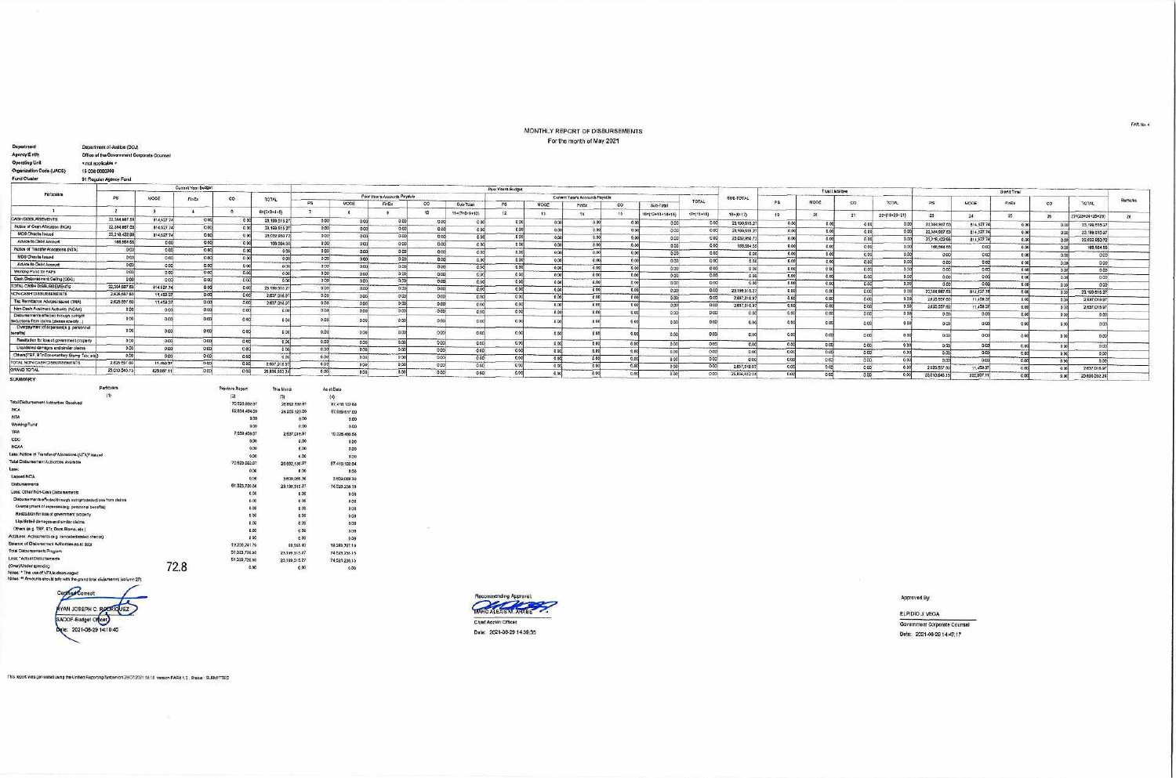## MONTHLY REPORT OF DISBURSEMENTS For the month of May 2021

|                                                                                   | 01 Regular Agency Fund                |                | Current Year Budget              |                |                                   |           | The contract of the contract to the contract of the contract of the contract of the contract of the contract of the contract of the contract of the contract of the contract of the contract of the contract of the contract o<br>Prior Year's Budget |                            |                           |                                |       |                |                                 |              |                                |                                           |                     | <b>CONTRACTOR</b> CONTRACTOR       |                   |                  |               | Montana il composito estate anno anno 1992<br>and construction depends on the determination<br>to the character is a previous formulation of the company of the |                                 |                           |       |                            |                      |
|-----------------------------------------------------------------------------------|---------------------------------------|----------------|----------------------------------|----------------|-----------------------------------|-----------|-------------------------------------------------------------------------------------------------------------------------------------------------------------------------------------------------------------------------------------------------------|----------------------------|---------------------------|--------------------------------|-------|----------------|---------------------------------|--------------|--------------------------------|-------------------------------------------|---------------------|------------------------------------|-------------------|------------------|---------------|-----------------------------------------------------------------------------------------------------------------------------------------------------------------|---------------------------------|---------------------------|-------|----------------------------|----------------------|
| <b>Particulars</b>                                                                | Þ6                                    | MODE           |                                  | co             |                                   |           | the first contract to the first pro-<br>Prior Years Accounts Payable                                                                                                                                                                                  |                            |                           |                                |       |                | Current Year's Accounts Payable |              | the property of the control of | the country of the country of the country | SUB-TOTAL           | -------                            | Trust i, ishildee |                  |               |                                                                                                                                                                 |                                 | Grand Total               |       |                            |                      |
|                                                                                   | <b><i><u>State Contractor</u></i></b> |                | FinEx                            |                | TOTAL                             | <b>PS</b> | MODE                                                                                                                                                                                                                                                  | FinEx                      | <b>CO</b>                 | Sub-Total                      | PS    | <b>MODE</b>    | FAEX                            | $\infty$     | Sub-Total                      | <b>TOTAL</b>                              |                     | PS:                                | MODE              | $\infty$         | TOTAL         | PS                                                                                                                                                              | <b>MCCE</b>                     | FinEx<br>co               | TOTAL | <b>Remarks</b>             |                      |
|                                                                                   |                                       |                |                                  |                | $6 = (2 \cdot 3 \cdot 4 \cdot 5)$ |           |                                                                                                                                                                                                                                                       |                            |                           | 11=(7+8+9+10)                  | 12    | -49.           |                                 |              | 16=(12+13+14+16)               | $17 = (11 + 55)$                          | $18 - (6 + 17)$     |                                    |                   | 21               | 22-(19+20+21) |                                                                                                                                                                 |                                 |                           |       |                            |                      |
| <b>CASH DISBURSEMENTS</b>                                                         | 22.384.907.5                          | 814,527.74     | 0.00                             |                | 23,199,518                        | 0.001     | 0 <sup>o</sup>                                                                                                                                                                                                                                        | 0.00                       | 0.00                      | 0.00                           | 0.00  |                | 0.00                            |              |                                |                                           |                     |                                    |                   |                  |               | 23                                                                                                                                                              |                                 |                           |       | $27 = 123 + 24 + 26 + 261$ | $\overline{28}$      |
| Notice of Cash Allocation (NCA)                                                   | 22.384.967.                           | 814.527.74     | <b>CONTRACT</b><br>0.00          | 0.0            | 23,190,515.2                      | 0.00      | 0 <sup>o</sup>                                                                                                                                                                                                                                        | 0.0                        | 0.00                      | 000                            | 0.00  |                | $-0.00$                         |              | 0 <sup>o</sup>                 |                                           | 23,199,615.2        | 0.00                               | 0.0               |                  |               | 22384 9871                                                                                                                                                      | 814,6277                        | 0.001                     |       | 23.199.515.27              |                      |
| <b>MDS Checks Issued</b>                                                          | 22,218,422.9                          | 814,527.74     | 0.00                             | 0.0            | 23.032.963.72                     | 0.00      | 0.00                                                                                                                                                                                                                                                  |                            | 0.00                      | <b>State State</b><br>0.00     | 0.00  |                | <b>Contact</b><br>0.00          |              | 0.00                           |                                           | 23,199,515.2        | 0.00                               | 0 <sub>O</sub>    | 0.00             |               | 22384 9871                                                                                                                                                      | 114,527.7                       | 0.00                      |       | 23.199.515.27              |                      |
| Advice to Debit Account                                                           | 166,564.6                             | 00             | 0.001                            | 00             | 106,564.5                         | 0.00      | <b>DOG</b>                                                                                                                                                                                                                                            |                            | 0.00                      | 0.00                           | 000   |                | <b>CONTRACTOR</b><br>0.001      |              | 0.00                           |                                           | 23,032,950.72       | 0.00                               |                   | 0.00             |               | 22.219.422.98                                                                                                                                                   | 814,527.74<br><b>COMMERCIAL</b> | 0.00                      |       | 23 032 050 72              |                      |
| Notice of Transfer Atlocations (NTA)                                              | 0.00                                  | 0.00           | 0.00                             | 0.01           | 000                               | 0.00      | 000                                                                                                                                                                                                                                                   | 0 <sub>0</sub>             | 0.00                      | 0.00                           | 0.00  | 0.00           | ـــ                             |              | 0.001                          |                                           | 195,564.65          | 0.00                               | 0 <sub>0</sub>    | 0.00             | 0.0           | 166,564.5                                                                                                                                                       | 0.00                            | 0.00                      |       | 166,584.55<br>menand       |                      |
| <b>MOS Checks Issued</b>                                                          | 0.00                                  | 0.00           | 0.001                            | 0.00           | 000                               | 0.00      | 0.00                                                                                                                                                                                                                                                  | -9.0                       | 0.00                      | 0.00 <sup>2</sup>              | 0.001 | 0.00           | 0.00                            |              | 000                            | 0.00                                      | 0.00                | 0.00                               |                   | 0.00<br>والمسترد | 00            | 0.00                                                                                                                                                            | 000                             | 0.00                      | 0.005 | 0.00                       |                      |
| Advice to Dabit Account                                                           | <b>PERMIT</b><br>0.00                 | 0.00           | 0.00                             | 0.00           | 0.00                              | 0.00      | 0.001                                                                                                                                                                                                                                                 | 0.00                       | 000                       | ومايحتهم<br>0.00               | 0.00  | 0.00           | 0.001<br>ستعرز<br>0.00          |              | 000                            | 0.00                                      | 0 <sub>0</sub>      | 0.00                               | 0 <sup>o</sup>    | <b>C.DO</b>      | 0.0           | 0.00                                                                                                                                                            | 0.005                           | 0 <sup>0</sup>            | 0.00  | 0.00<br>___                |                      |
| Working Fund for FAPs                                                             | 0.00                                  | 0.00           | <b>Service</b><br>0 <sub>0</sub> | 0.00           | - 6.00                            | 0.001     | 0.00                                                                                                                                                                                                                                                  | 0 <sup>0<sub>0</sub></sup> | DQQ                       | --<br>0.00                     | 0.00  | 0.00           | 0.00                            |              | 0.00                           | 0.00                                      | 000                 | 000                                | 0.00              | 0.00             | 0.01          | 0.00                                                                                                                                                            | 0 <sup>0</sup>                  | 0.00<br><b>Historical</b> | 0.03  | 0.00                       |                      |
| Cash Disbursement Celling (CDC)                                                   | 0.00                                  | 0.00           | -<br>0.00                        | p col          |                                   | 0.00      | 0.00                                                                                                                                                                                                                                                  |                            | 0.00                      | 0.00                           | 0.001 | 0.00           | 0.00                            |              | 0.00                           | 0.00<br>0.00                              | 0.00                | 0.00                               | 0 <sup>0</sup>    | 0.001            | 0.00          | 0.001                                                                                                                                                           | 00%                             | 0 <sup>o</sup>            | 0.006 | 0.00                       |                      |
| TOTAL CASH DISBURSEMENTS                                                          | 22.384.967.53                         | 814,527.74     | 0.00                             | 0 <sup>o</sup> | 23.199.515.3                      | 0.00      | standard for<br>0.00                                                                                                                                                                                                                                  | <b>0.00F</b>               | <b>STATISTICS</b><br>0.00 | <b>The American</b><br>0.00    | 0.001 | 0.00           | $-$<br>0.00                     | 0.00         | 0.00<br>0.00                   | 0.00                                      | 0.00                | 0.00                               | 0.00              | 0.00             | 0.00          | 0.01                                                                                                                                                            | 0.00                            | 0.00                      | o no  | 000                        |                      |
| NON-CASH DISSURSEMENTS                                                            | 2.625, 557.6                          | 11,458.37      | <b>Contract</b><br>0.00          |                | 2,637,018.97                      | 0.00      | 0.00                                                                                                                                                                                                                                                  | 0.00                       | ___<br>0.00               | 0.00                           | 0.001 | 0.00           | __<br>0.00                      | 0.00         |                                |                                           | 23.199.515.27       | 0.00<br>processing the contract of | 0.00              | 0.00             | 0.0           | 22384.887.53                                                                                                                                                    | B14.527.7                       | 0.001                     |       | 23,199,515.27              |                      |
| Tax Remittance Advices Issued (TRA)                                               | 2,625,557.8                           | 11,459.57      | 0.00                             |                | 2,637,018.9                       | 000       | 0.00                                                                                                                                                                                                                                                  | 0 <sup>o</sup>             | 0.00                      | 0.00                           | 0.00  | 0.00           | 0.00                            | 0 ix         | 0.00<br>0.007                  | 0.00<br>000                               | 2,637,016.97        | 0.00                               | 0.00              | 0.00             | 0.00          | 2.625.557 8                                                                                                                                                     | 11,459.3                        | 0.00<br>marie             | o cel | 2,537,018.97               |                      |
| Non-Cash Availment Authority (NCAA)                                               | 0.00                                  | 0.00           | 0.00                             | 00             |                                   | 0.00      | 0.00                                                                                                                                                                                                                                                  | <b>COLLECTION</b><br>0.00  | 0.00                      | .<br>0.00                      | 0.00  | 0.001          | 0.00                            |              |                                |                                           | 2,637,016.97        | 0.00                               | 0.00              | 0.00             |               | 2825,557.6                                                                                                                                                      | 11.450.37                       | 0.00                      | 6.00  | 2.637.018.97               |                      |
| Disbureements effected through cutright<br>deductions from claims (please specify |                                       | 00             |                                  |                |                                   |           |                                                                                                                                                                                                                                                       |                            | ob                        | 0 <sup>0</sup>                 | 0.00  |                | 0.00                            |              | 0.00<br>0.00                   | 000                                       | 0.0                 | 0.00                               | 0.0               | 0.00<br>0.05     |               | 0.00                                                                                                                                                            | 0.0                             | 0.00                      |       |                            |                      |
| Cverpsyment of expanses(e.g. personnel<br>benefits                                | 0.00                                  | 0 <sup>o</sup> | 00                               | 0.00           |                                   | 0.00      |                                                                                                                                                                                                                                                       |                            | 0.00                      |                                |       |                | 0.00                            |              | 0.00                           | O.M                                       | 0.00                | 0.00                               |                   | 0.00             |               |                                                                                                                                                                 | 0C                              | 0.00                      |       |                            |                      |
| Restitution for idea of government property                                       | 0.00                                  | 0.00           | 0.00                             | 0 <sup>o</sup> | 0.06                              | 0.00      | 0.00                                                                                                                                                                                                                                                  | 0.00                       | 0.00                      | 0.00                           | 0.90  | apol           | 0.00                            | 0.00         | 0.00                           | 0.00                                      |                     |                                    |                   |                  |               |                                                                                                                                                                 |                                 |                           |       |                            |                      |
| Liquidated damages and similar claims                                             | 0.00                                  | 0.00           | 0.00                             | 0.00           | 0.00                              | 0.001     | <b><i><u>SANSAS</u></i></b><br>0.00                                                                                                                                                                                                                   | 0.00                       | 0.00                      | 0.00                           | 0.00  | فمنحت<br>0.006 | <b>Contract</b><br>0.00         | كتسب<br>0.00 |                                | <b>COMMAND</b><br>0.00                    | 0.00                | 0.001                              | D OG              | 0.00             | 0.00          | 0.00                                                                                                                                                            | 0.00                            | 0.001                     | 0.001 | 0.001<br>فتنسبت            | <b>Programmation</b> |
| Others(TEF, BTr-Documentary Stamp Tax, etc)                                       | 0.00                                  | 0.00           | 0.000                            |                | 0.00                              | 0.00      | 0.00                                                                                                                                                                                                                                                  | 0 bol                      | 0.00                      | <br>0.00                       | 0.001 | 0.00           | $-0.00$                         | 0.00         | 0.00<br>0.00                   | 000                                       | 0.00                | 0.00                               | 000               | 0.00             | 0.00          | 0.00                                                                                                                                                            | 0 <sup>o</sup>                  | 0.00                      | 000   | C.GO                       |                      |
| TOTAL NON-CASH DISBURSEMENTS                                                      | 2,625,557.9                           | 11,459.37      | 0.00                             | 0.0            | 2,637,016.97                      | 0.00      | 0.00                                                                                                                                                                                                                                                  | 0.00                       | 0.00                      | market and a street<br>0.00    | 0.00  | 0.006          | --<br>0.001                     |              | 000                            | 0.00                                      | 000<br>2,637,018.97 | 0.00                               |                   | 0.00<br>------   | 0.00          | 0.00                                                                                                                                                            | 000                             | 0.001                     | 0.00  | 0.00                       |                      |
| GRAND TOTAL                                                                       | 25.010.545.13                         | 825987.1       | 0.00                             | 0001           | 25 836 532 24                     | 0.00      | 0.00                                                                                                                                                                                                                                                  | 0.CO                       | 0.00                      | <b>Similar British</b><br>0.00 | 0.001 | $-5.00$        | 0.008                           |              | 0.00                           | 0.001                                     | 25,836,532.24       | 0.00<br>0.00                       |                   | 0.00<br>0.001    | 0.00          | 2,825,557.60<br>25,010,545.13                                                                                                                                   | 11.459.37<br>825.037.1          | 0.00                      | 0.001 | 2 837.018.97               |                      |

|                                                                |      | .                            | ------------- | <b><i>FIG.63 USUA</i></b> |
|----------------------------------------------------------------|------|------------------------------|---------------|---------------------------|
| $\langle 1 \rangle$                                            |      | $\left  \frac{1}{2} \right $ | 倒             | $\langle 4 \rangle$       |
| Total Disbursement Authorities Receivad                        |      | 70.523.962.67                | 26,892,139.97 | 07.416.102.64             |
| NCA                                                            |      | 82,834,494.00                | 24.255.123.00 | 87.089.617.00             |
| <b>NTA</b>                                                     |      | 0.00                         | 0.00          | 0.00                      |
| Working Fund                                                   |      | 0.00                         | 0.00          | 0.00                      |
| <b>TRA</b>                                                     |      | 7,559,468.67                 | 2.637.016.97  | 10 328 465 64             |
| CDC                                                            |      | 0.00                         | 0.00          | 0.00                      |
| <b>NCAA</b>                                                    |      | 0.00                         | 0.00          | 0.00                      |
| Less Notion of Transfer of Allocations (NTA)* issued           |      | 0.00                         | $d$ OC        | 0.00                      |
| Total Disbursement Authorities Available                       |      | 70.523.662.67                | 26 882 139.97 | 97.415.102.64             |
| Less:                                                          |      | 0.00                         | 0.06          | 0.00                      |
| Lapsed NCA                                                     |      | 0.00                         | 3.609.069.30  | 3.609.069.30              |
| Disbursements.                                                 |      | 61.323.720.88                | 23 192,515.27 | 74,523,236.16             |
| Less: Other Non-Cash Disbursements                             |      | 0.00                         | 0.00          | 0.00                      |
| Disbursements effected through outright deductions from claims |      | 0.00                         | 000           | 5.00                      |
| Overpayment of expenses(e.g. personnel benefits)               |      | 0.00                         | 0.00          | 0.00                      |
| Restitution for ices of government property                    |      | 0.00                         | 0.00          | 0.00                      |
| Liquidated damages and similar claims.                         |      | 0.00                         | 0.00          | 0.00                      |
| Others (e.g. TEP, BTr, Docs-Stamp, etc.)                       |      | 0.00                         | 0.00          | 0.00                      |
| Additions: Adjustments (e.g. cancelled/staled checks)          |      | 0.00                         | 0.00          | 0.00                      |
| Balance of Disburgement Authorities as at date                 |      | 19.200.241.79                | 83.565.40     | 19.283.797.19             |
| Fotal Disburgements Program                                    |      | 51.323.720.88                | 23.199.515.27 | 74,523,238.15             |
| Less: "Actual Disbursements                                    |      | 51,323,720.68                | 23,199,515.27 | 74.523,236.15             |
| Over)/Under spending                                           | 72 8 | 0.00                         | 0.05          | 0.00                      |
|                                                                |      |                              |               |                           |

Notes. \* The use of NTA is discouraged<br>Notes. \* Pre use of NTA is discouraged<br>Notes: \*\* Announts should tally with the grand total disbursemet (oblumn 27).





Approved By:

ELPIDIO J. VEGA Government Corporate Counsel Date: 2021-06-29 14:47:17

This report was generated using the Unified Reporting System on 28/07/2021 08:10 version FAR4 1.2 ; Status : SUBM/TTED

FAR No. 4